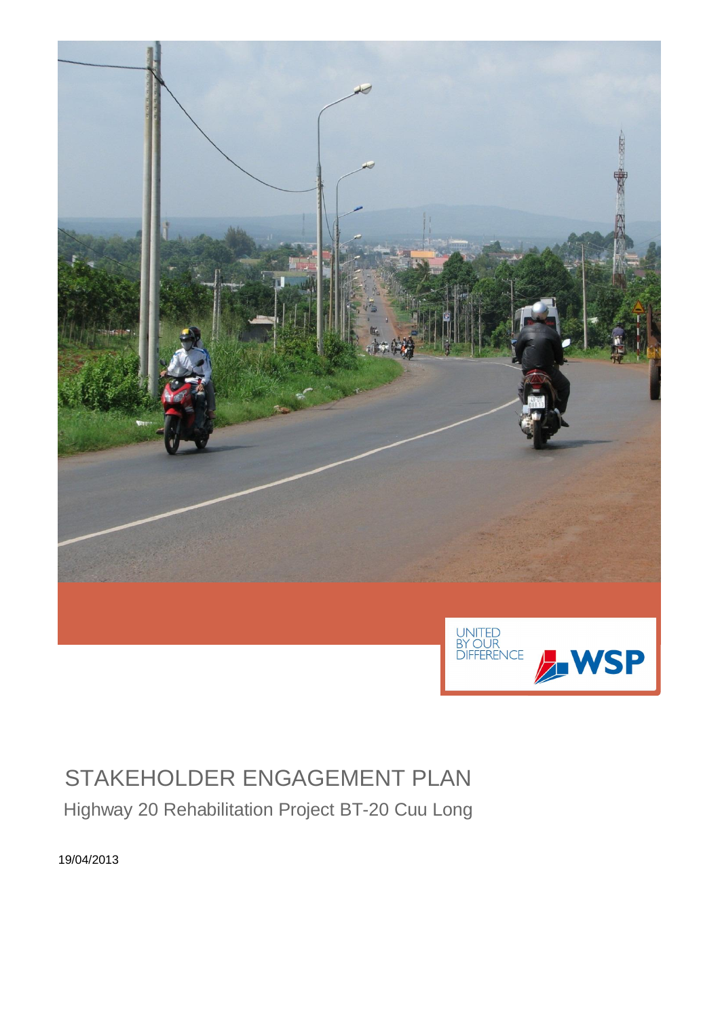

# STAKEHOLDER ENGAGEMENT PLAN

Highway 20 Rehabilitation Project BT-20 Cuu Long

19/04/2013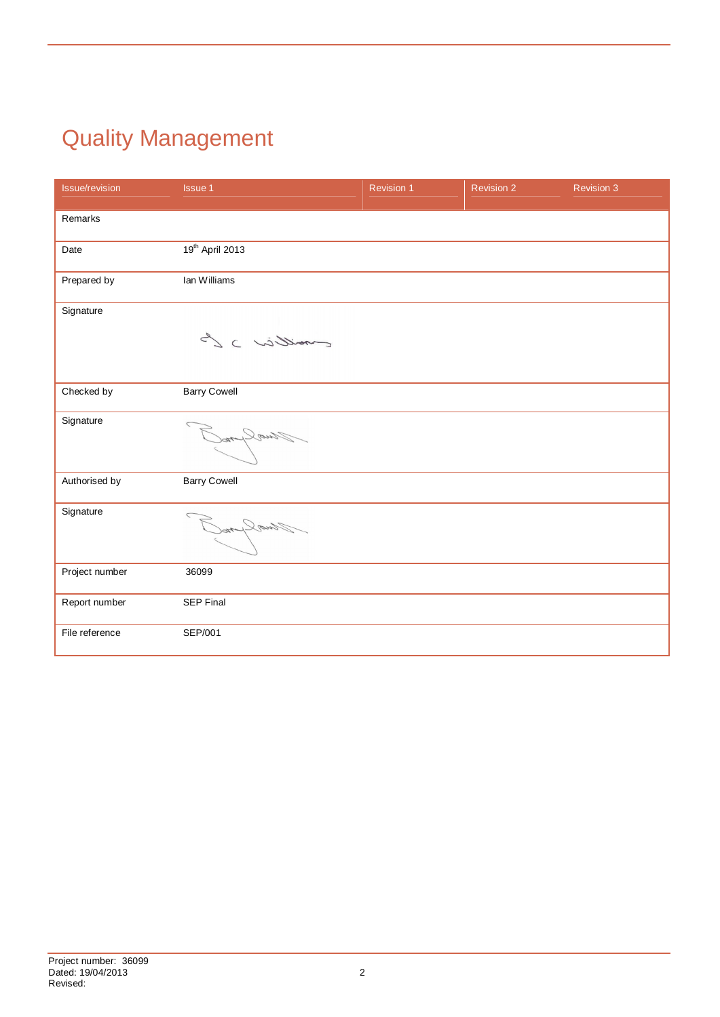# Quality Management

| <b>Issue/revision</b> | <b>Issue 1</b>      | <b>Revision 1</b> | <b>Revision 2</b> | <b>Revision 3</b> |
|-----------------------|---------------------|-------------------|-------------------|-------------------|
| Remarks               |                     |                   |                   |                   |
| Date                  | 19th April 2013     |                   |                   |                   |
| Prepared by           | Ian Williams        |                   |                   |                   |
| Signature             | moillier ) L        |                   |                   |                   |
| Checked by            | <b>Barry Cowell</b> |                   |                   |                   |
| Signature             | Jualpon             |                   |                   |                   |
| Authorised by         | <b>Barry Cowell</b> |                   |                   |                   |
| Signature             | Fluo Lyno           |                   |                   |                   |
| Project number        | 36099               |                   |                   |                   |
| Report number         | <b>SEP Final</b>    |                   |                   |                   |
| File reference        | SEP/001             |                   |                   |                   |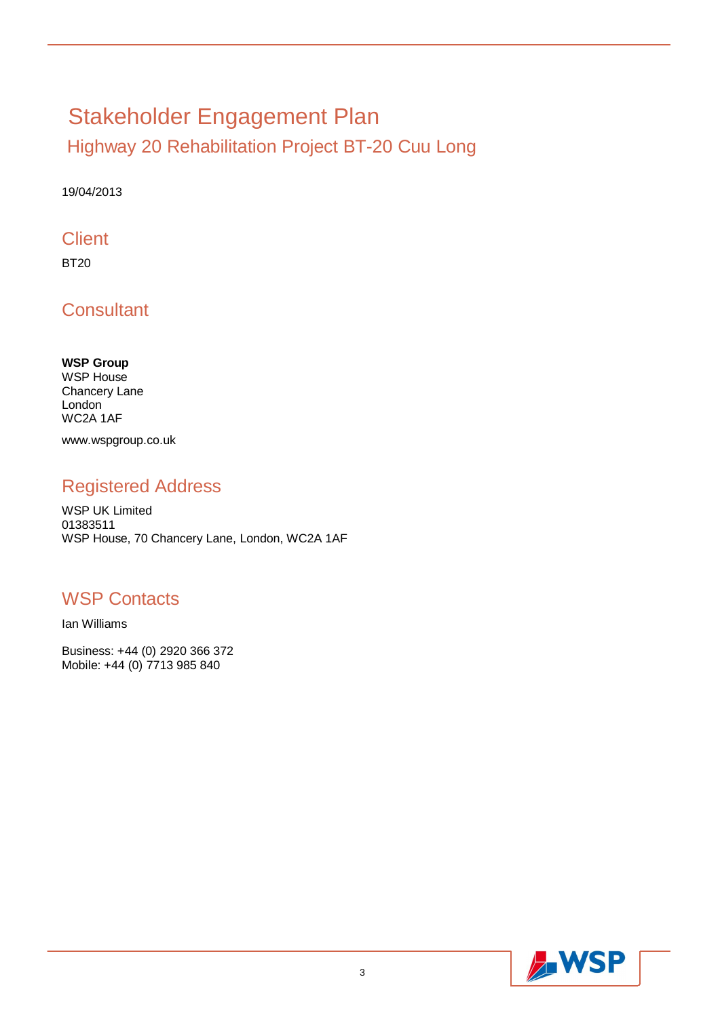# Stakeholder Engagement Plan

Highway 20 Rehabilitation Project BT-20 Cuu Long

19/04/2013

### **Client**

BT20

**Consultant** 

**WSP Group** WSP House Chancery Lane London WC2A 1AF www.wspgroup.co.uk

### Registered Address

WSP UK Limited 01383511 WSP House, 70 Chancery Lane, London, WC2A 1AF

### WSP Contacts

Ian Williams

Business: +44 (0) 2920 366 372 Mobile: +44 (0) 7713 985 840

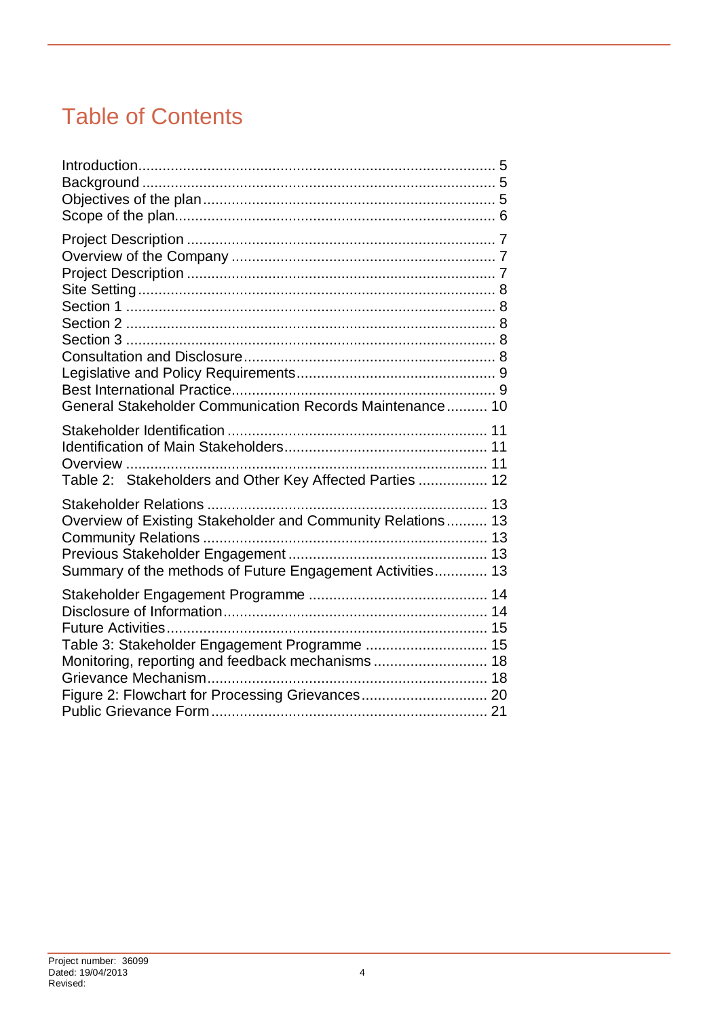## Table of Contents

| General Stakeholder Communication Records Maintenance 10                                                                                              |
|-------------------------------------------------------------------------------------------------------------------------------------------------------|
| Table 2: Stakeholders and Other Key Affected Parties  12                                                                                              |
| Overview of Existing Stakeholder and Community Relations 13<br>Summary of the methods of Future Engagement Activities 13                              |
| Table 3: Stakeholder Engagement Programme  15<br>Monitoring, reporting and feedback mechanisms 18<br>Figure 2: Flowchart for Processing Grievances 20 |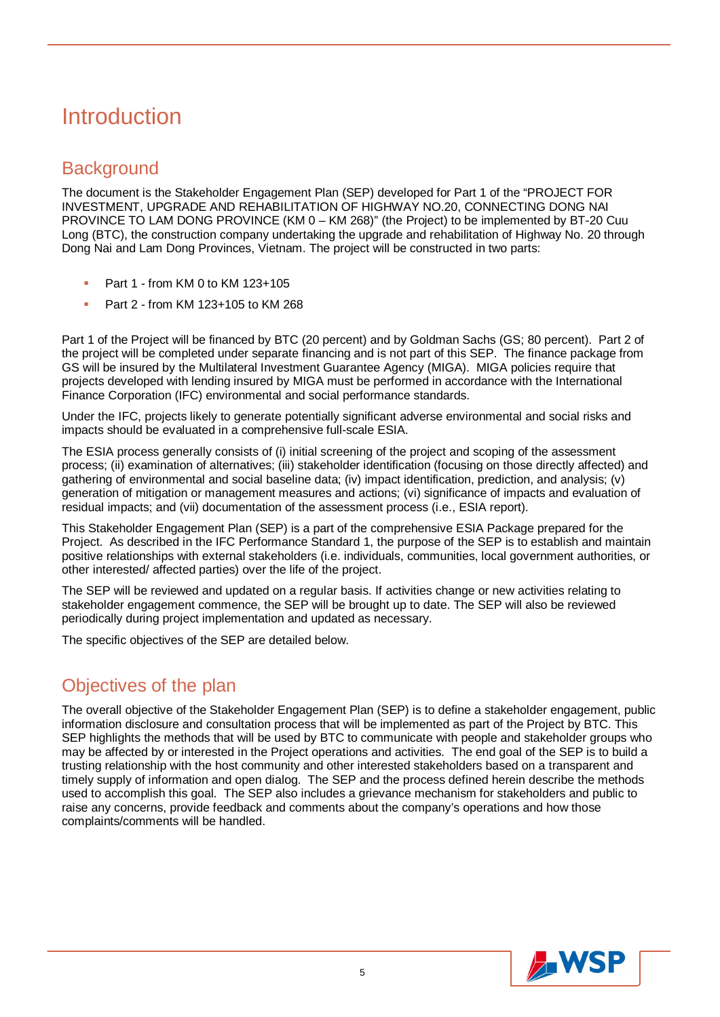## Introduction

### **Background**

The document is the Stakeholder Engagement Plan (SEP) developed for Part 1 of the "PROJECT FOR INVESTMENT, UPGRADE AND REHABILITATION OF HIGHWAY NO.20, CONNECTING DONG NAI PROVINCE TO LAM DONG PROVINCE (KM 0 – KM 268)" (the Project) to be implemented by BT-20 Cuu Long (BTC), the construction company undertaking the upgrade and rehabilitation of Highway No. 20 through Dong Nai and Lam Dong Provinces, Vietnam. The project will be constructed in two parts:

- Part 1 from KM 0 to KM 123+105
- Part 2 from KM 123+105 to KM 268

Part 1 of the Project will be financed by BTC (20 percent) and by Goldman Sachs (GS; 80 percent). Part 2 of the project will be completed under separate financing and is not part of this SEP. The finance package from GS will be insured by the Multilateral Investment Guarantee Agency (MIGA). MIGA policies require that projects developed with lending insured by MIGA must be performed in accordance with the International Finance Corporation (IFC) environmental and social performance standards.

Under the IFC, projects likely to generate potentially significant adverse environmental and social risks and impacts should be evaluated in a comprehensive full-scale ESIA.

The ESIA process generally consists of (i) initial screening of the project and scoping of the assessment process; (ii) examination of alternatives; (iii) stakeholder identification (focusing on those directly affected) and gathering of environmental and social baseline data; (iv) impact identification, prediction, and analysis; (v) generation of mitigation or management measures and actions; (vi) significance of impacts and evaluation of residual impacts; and (vii) documentation of the assessment process (i.e., ESIA report).

This Stakeholder Engagement Plan (SEP) is a part of the comprehensive ESIA Package prepared for the Project. As described in the IFC Performance Standard 1, the purpose of the SEP is to establish and maintain positive relationships with external stakeholders (i.e. individuals, communities, local government authorities, or other interested/ affected parties) over the life of the project.

The SEP will be reviewed and updated on a regular basis. If activities change or new activities relating to stakeholder engagement commence, the SEP will be brought up to date. The SEP will also be reviewed periodically during project implementation and updated as necessary.

The specific objectives of the SEP are detailed below.

### Objectives of the plan

The overall objective of the Stakeholder Engagement Plan (SEP) is to define a stakeholder engagement, public information disclosure and consultation process that will be implemented as part of the Project by BTC. This SEP highlights the methods that will be used by BTC to communicate with people and stakeholder groups who may be affected by or interested in the Project operations and activities. The end goal of the SEP is to build a trusting relationship with the host community and other interested stakeholders based on a transparent and timely supply of information and open dialog. The SEP and the process defined herein describe the methods used to accomplish this goal. The SEP also includes a grievance mechanism for stakeholders and public to raise any concerns, provide feedback and comments about the company's operations and how those complaints/comments will be handled.

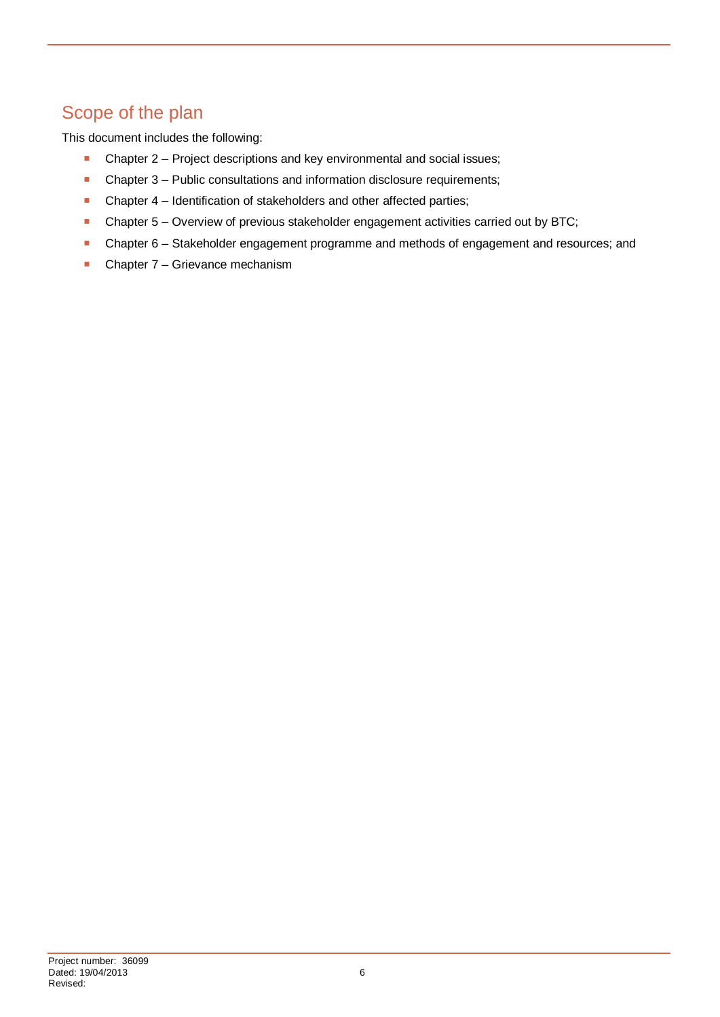### Scope of the plan

This document includes the following:

- **Chapter 2 Project descriptions and key environmental and social issues;**
- Chapter 3 Public consultations and information disclosure requirements;
- **-** Chapter 4 Identification of stakeholders and other affected parties;
- Chapter 5 Overview of previous stakeholder engagement activities carried out by BTC;
- Chapter 6 Stakeholder engagement programme and methods of engagement and resources; and
- **Chapter 7 Grievance mechanism**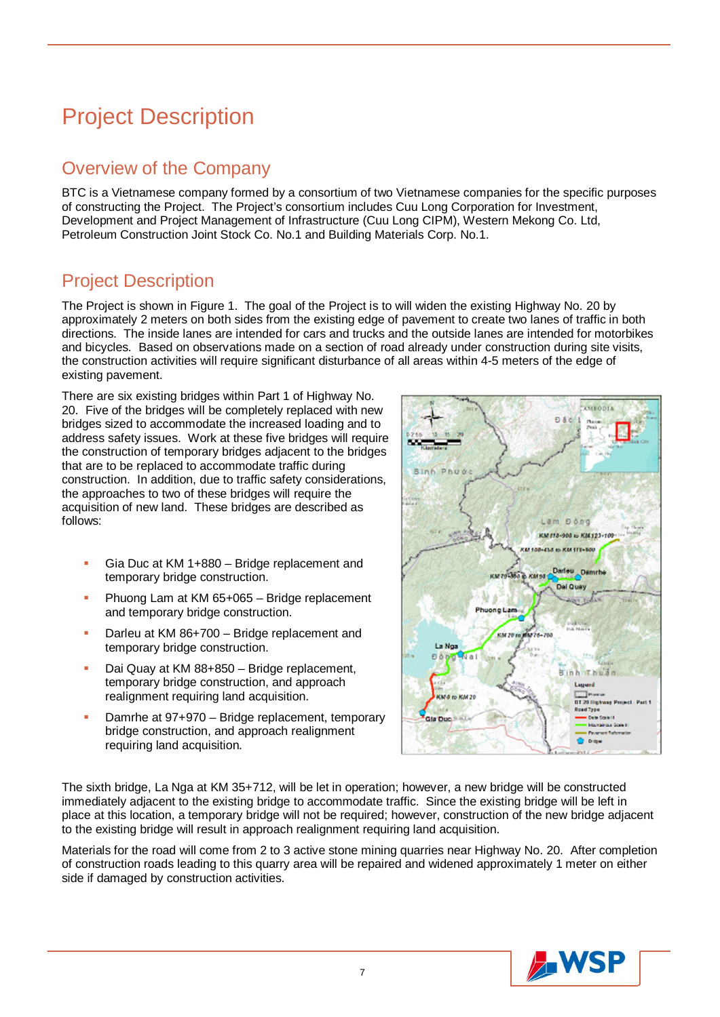## Project Description

### Overview of the Company

BTC is a Vietnamese company formed by a consortium of two Vietnamese companies for the specific purposes of constructing the Project. The Project's consortium includes Cuu Long Corporation for Investment, Development and Project Management of Infrastructure (Cuu Long CIPM), Western Mekong Co. Ltd, Petroleum Construction Joint Stock Co. No.1 and Building Materials Corp. No.1.

### Project Description

The Project is shown in Figure 1. The goal of the Project is to will widen the existing Highway No. 20 by approximately 2 meters on both sides from the existing edge of pavement to create two lanes of traffic in both directions. The inside lanes are intended for cars and trucks and the outside lanes are intended for motorbikes and bicycles. Based on observations made on a section of road already under construction during site visits, the construction activities will require significant disturbance of all areas within 4-5 meters of the edge of existing pavement.

There are six existing bridges within Part 1 of Highway No. 20. Five of the bridges will be completely replaced with new bridges sized to accommodate the increased loading and to address safety issues. Work at these five bridges will require the construction of temporary bridges adjacent to the bridges that are to be replaced to accommodate traffic during construction. In addition, due to traffic safety considerations, the approaches to two of these bridges will require the acquisition of new land. These bridges are described as follows:

- Gia Duc at KM 1+880 Bridge replacement and temporary bridge construction.
- **Phuong Lam at KM 65+065 Bridge replacement** and temporary bridge construction.
- Darleu at KM 86+700 Bridge replacement and temporary bridge construction.
- Dai Quay at KM 88+850 Bridge replacement, temporary bridge construction, and approach realignment requiring land acquisition.
- Damrhe at 97+970 Bridge replacement, temporary bridge construction, and approach realignment requiring land acquisition.



The sixth bridge, La Nga at KM 35+712, will be let in operation; however, a new bridge will be constructed immediately adjacent to the existing bridge to accommodate traffic. Since the existing bridge will be left in place at this location, a temporary bridge will not be required; however, construction of the new bridge adjacent to the existing bridge will result in approach realignment requiring land acquisition.

Materials for the road will come from 2 to 3 active stone mining quarries near Highway No. 20. After completion of construction roads leading to this quarry area will be repaired and widened approximately 1 meter on either side if damaged by construction activities.

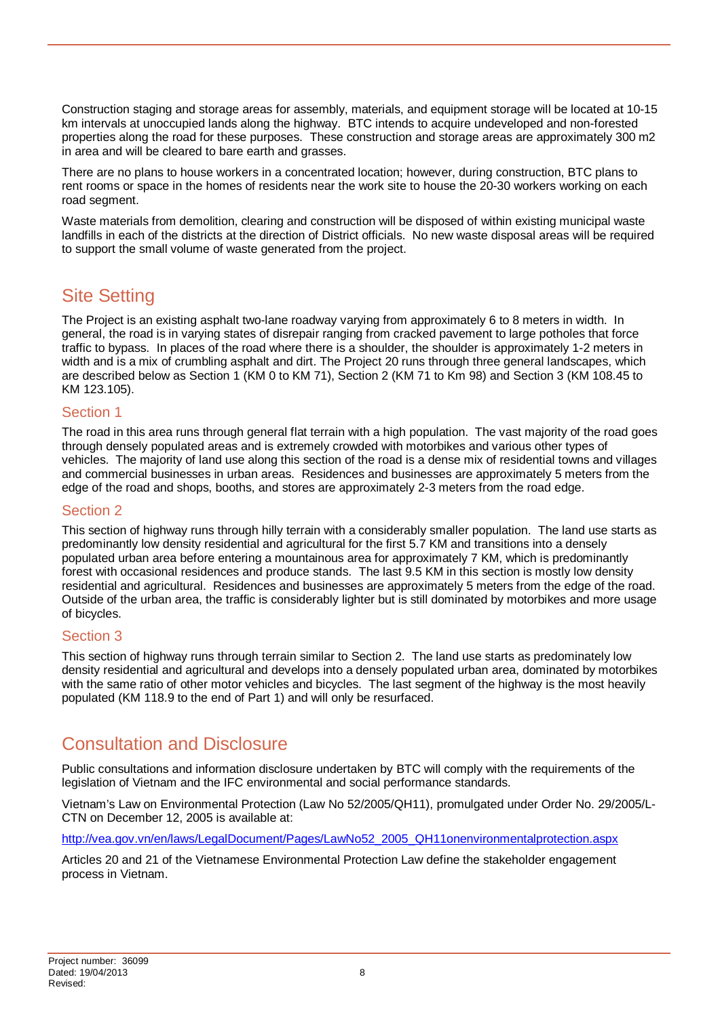Construction staging and storage areas for assembly, materials, and equipment storage will be located at 10-15 km intervals at unoccupied lands along the highway. BTC intends to acquire undeveloped and non-forested properties along the road for these purposes. These construction and storage areas are approximately 300 m2 in area and will be cleared to bare earth and grasses.

There are no plans to house workers in a concentrated location; however, during construction, BTC plans to rent rooms or space in the homes of residents near the work site to house the 20-30 workers working on each road segment.

Waste materials from demolition, clearing and construction will be disposed of within existing municipal waste landfills in each of the districts at the direction of District officials. No new waste disposal areas will be required to support the small volume of waste generated from the project.

### Site Setting

The Project is an existing asphalt two-lane roadway varying from approximately 6 to 8 meters in width. In general, the road is in varying states of disrepair ranging from cracked pavement to large potholes that force traffic to bypass. In places of the road where there is a shoulder, the shoulder is approximately 1-2 meters in width and is a mix of crumbling asphalt and dirt. The Project 20 runs through three general landscapes, which are described below as Section 1 (KM 0 to KM 71), Section 2 (KM 71 to Km 98) and Section 3 (KM 108.45 to KM 123.105).

#### Section 1

The road in this area runs through general flat terrain with a high population. The vast majority of the road goes through densely populated areas and is extremely crowded with motorbikes and various other types of vehicles. The majority of land use along this section of the road is a dense mix of residential towns and villages and commercial businesses in urban areas. Residences and businesses are approximately 5 meters from the edge of the road and shops, booths, and stores are approximately 2-3 meters from the road edge.

#### Section 2

This section of highway runs through hilly terrain with a considerably smaller population. The land use starts as predominantly low density residential and agricultural for the first 5.7 KM and transitions into a densely populated urban area before entering a mountainous area for approximately 7 KM, which is predominantly forest with occasional residences and produce stands. The last 9.5 KM in this section is mostly low density residential and agricultural. Residences and businesses are approximately 5 meters from the edge of the road. Outside of the urban area, the traffic is considerably lighter but is still dominated by motorbikes and more usage of bicycles.

#### Section 3

This section of highway runs through terrain similar to Section 2. The land use starts as predominately low density residential and agricultural and develops into a densely populated urban area, dominated by motorbikes with the same ratio of other motor vehicles and bicycles. The last segment of the highway is the most heavily populated (KM 118.9 to the end of Part 1) and will only be resurfaced.

### Consultation and Disclosure

Public consultations and information disclosure undertaken by BTC will comply with the requirements of the legislation of Vietnam and the IFC environmental and social performance standards.

Vietnam's Law on Environmental Protection (Law No 52/2005/QH11), promulgated under Order No. 29/2005/L-CTN on December 12, 2005 is available at:

http://vea.gov.vn/en/laws/LegalDocument/Pages/LawNo52\_2005\_QH11onenvironmentalprotection.aspx

Articles 20 and 21 of the Vietnamese Environmental Protection Law define the stakeholder engagement process in Vietnam.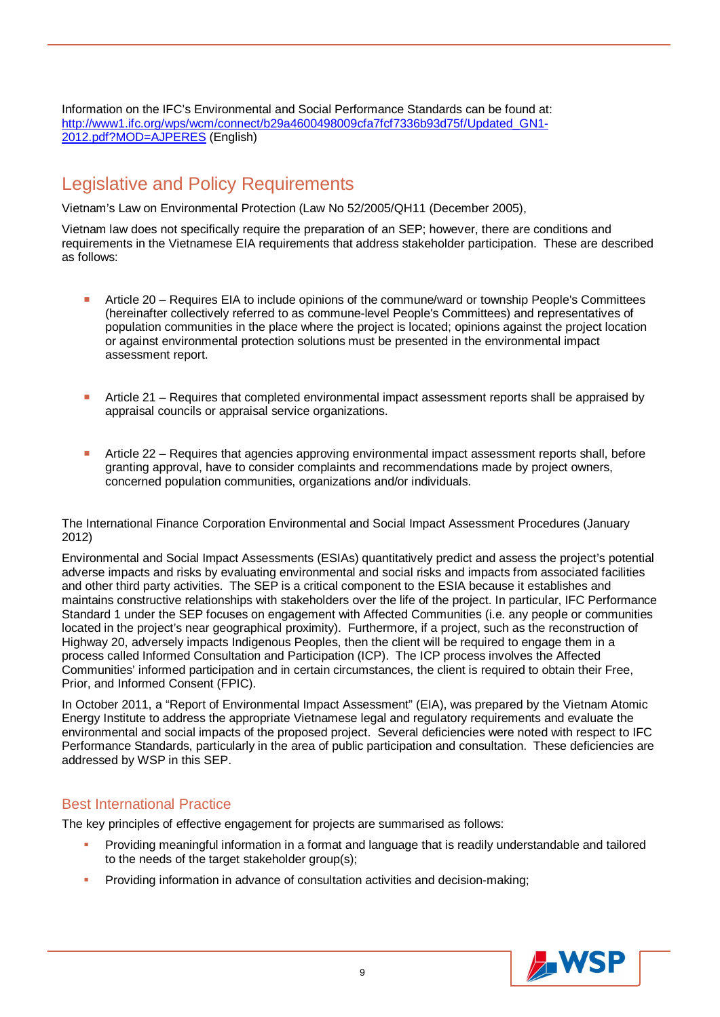Information on the IFC's Environmental and Social Performance Standards can be found at: http://www1.ifc.org/wps/wcm/connect/b29a4600498009cfa7fcf7336b93d75f/Updated\_GN1-2012.pdf?MOD=AJPERES (English)

### Legislative and Policy Requirements

Vietnam's Law on Environmental Protection (Law No 52/2005/QH11 (December 2005),

Vietnam law does not specifically require the preparation of an SEP; however, there are conditions and requirements in the Vietnamese EIA requirements that address stakeholder participation. These are described as follows:

- Article 20 Requires EIA to include opinions of the commune/ward or township People's Committees (hereinafter collectively referred to as commune-level People's Committees) and representatives of population communities in the place where the project is located; opinions against the project location or against environmental protection solutions must be presented in the environmental impact assessment report.
- Article 21 Requires that completed environmental impact assessment reports shall be appraised by appraisal councils or appraisal service organizations.
- **Article 22 Requires that agencies approving environmental impact assessment reports shall, before** granting approval, have to consider complaints and recommendations made by project owners, concerned population communities, organizations and/or individuals.

The International Finance Corporation Environmental and Social Impact Assessment Procedures (January 2012)

Environmental and Social Impact Assessments (ESIAs) quantitatively predict and assess the project's potential adverse impacts and risks by evaluating environmental and social risks and impacts from associated facilities and other third party activities. The SEP is a critical component to the ESIA because it establishes and maintains constructive relationships with stakeholders over the life of the project. In particular, IFC Performance Standard 1 under the SEP focuses on engagement with Affected Communities (i.e. any people or communities located in the project's near geographical proximity). Furthermore, if a project, such as the reconstruction of Highway 20, adversely impacts Indigenous Peoples, then the client will be required to engage them in a process called Informed Consultation and Participation (ICP). The ICP process involves the Affected Communities' informed participation and in certain circumstances, the client is required to obtain their Free, Prior, and Informed Consent (FPIC).

In October 2011, a "Report of Environmental Impact Assessment" (EIA), was prepared by the Vietnam Atomic Energy Institute to address the appropriate Vietnamese legal and regulatory requirements and evaluate the environmental and social impacts of the proposed project. Several deficiencies were noted with respect to IFC Performance Standards, particularly in the area of public participation and consultation. These deficiencies are addressed by WSP in this SEP.

#### Best International Practice

The key principles of effective engagement for projects are summarised as follows:

- Providing meaningful information in a format and language that is readily understandable and tailored to the needs of the target stakeholder group(s);
- Providing information in advance of consultation activities and decision-making;

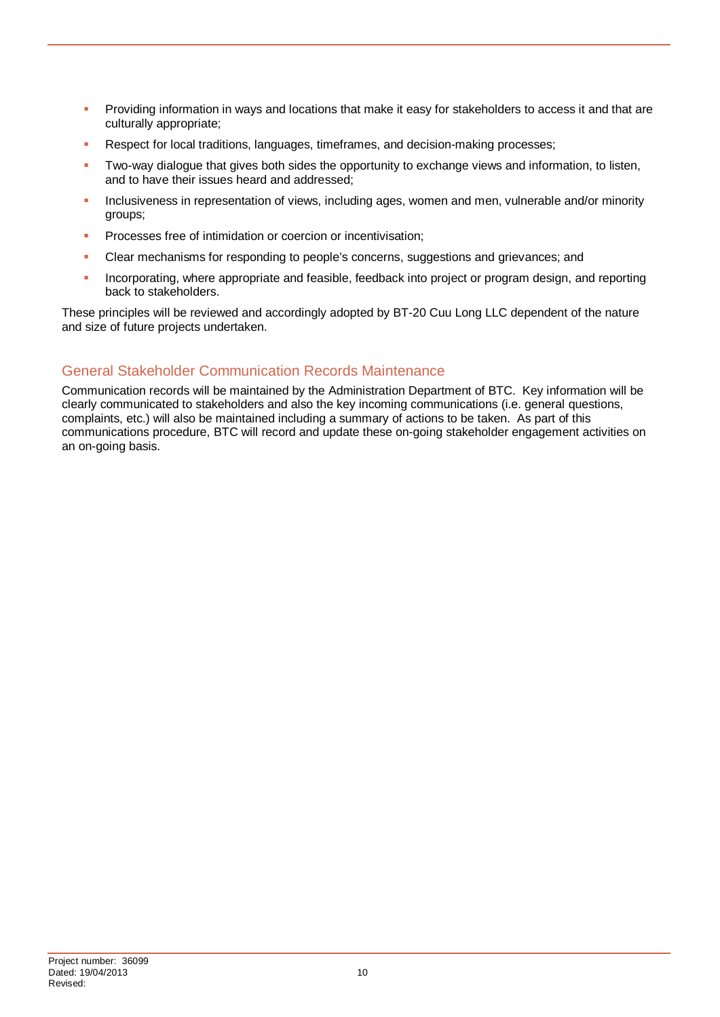- **Providing information in ways and locations that make it easy for stakeholders to access it and that are** culturally appropriate;
- Respect for local traditions, languages, timeframes, and decision-making processes;
- Two-way dialogue that gives both sides the opportunity to exchange views and information, to listen, and to have their issues heard and addressed;
- Inclusiveness in representation of views, including ages, women and men, vulnerable and/or minority groups;
- **Processes free of intimidation or coercion or incentivisation;**
- Clear mechanisms for responding to people's concerns, suggestions and grievances; and
- Incorporating, where appropriate and feasible, feedback into project or program design, and reporting back to stakeholders.

These principles will be reviewed and accordingly adopted by BT-20 Cuu Long LLC dependent of the nature and size of future projects undertaken.

#### General Stakeholder Communication Records Maintenance

Communication records will be maintained by the Administration Department of BTC. Key information will be clearly communicated to stakeholders and also the key incoming communications (i.e. general questions, complaints, etc.) will also be maintained including a summary of actions to be taken. As part of this communications procedure, BTC will record and update these on-going stakeholder engagement activities on an on-going basis.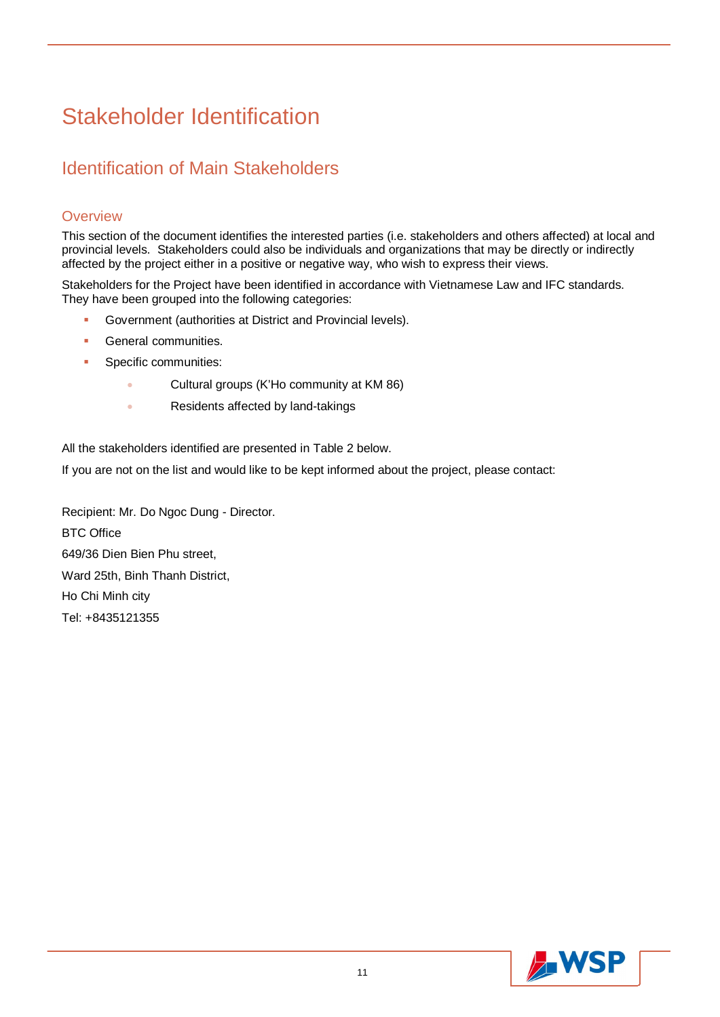## Stakeholder Identification

### Identification of Main Stakeholders

#### **Overview**

This section of the document identifies the interested parties (i.e. stakeholders and others affected) at local and provincial levels. Stakeholders could also be individuals and organizations that may be directly or indirectly affected by the project either in a positive or negative way, who wish to express their views.

Stakeholders for the Project have been identified in accordance with Vietnamese Law and IFC standards. They have been grouped into the following categories:

- **Government (authorities at District and Provincial levels).**
- **General communities.**
- Specific communities:
	- **Example 2** Cultural groups (K'Ho community at KM 86)
	- **Example 2** Residents affected by land-takings

All the stakeholders identified are presented in Table 2 below.

If you are not on the list and would like to be kept informed about the project, please contact:

Recipient: Mr. Do Ngoc Dung - Director. BTC Office 649/36 Dien Bien Phu street, Ward 25th, Binh Thanh District, Ho Chi Minh city Tel: +8435121355

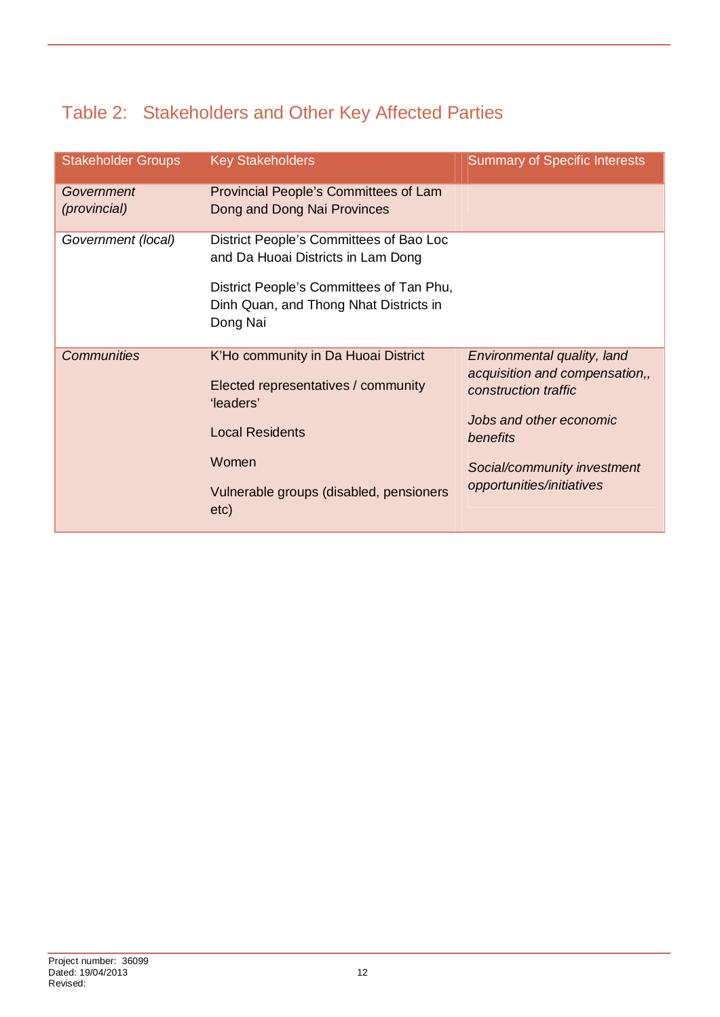### Table 2: Stakeholders and Other Key Affected Parties

| <b>Stakeholder Groups</b>  | <b>Key Stakeholders</b>                                                                        | <b>Summary of Specific Interests</b>                                                  |
|----------------------------|------------------------------------------------------------------------------------------------|---------------------------------------------------------------------------------------|
| Government<br>(provincial) | Provincial People's Committees of Lam<br>Dong and Dong Nai Provinces                           |                                                                                       |
| Government (local)         | District People's Committees of Bao Loc<br>and Da Huoai Districts in Lam Dong                  |                                                                                       |
|                            | District People's Committees of Tan Phu,<br>Dinh Quan, and Thong Nhat Districts in<br>Dong Nai |                                                                                       |
| <b>Communities</b>         | K'Ho community in Da Huoai District<br>Elected representatives / community<br>'leaders'        | Environmental quality, land<br>acquisition and compensation,,<br>construction traffic |
|                            | <b>Local Residents</b>                                                                         | Jobs and other economic<br>benefits                                                   |
|                            | Women                                                                                          | Social/community investment                                                           |
|                            | Vulnerable groups (disabled, pensioners<br>etc)                                                | opportunities/initiatives                                                             |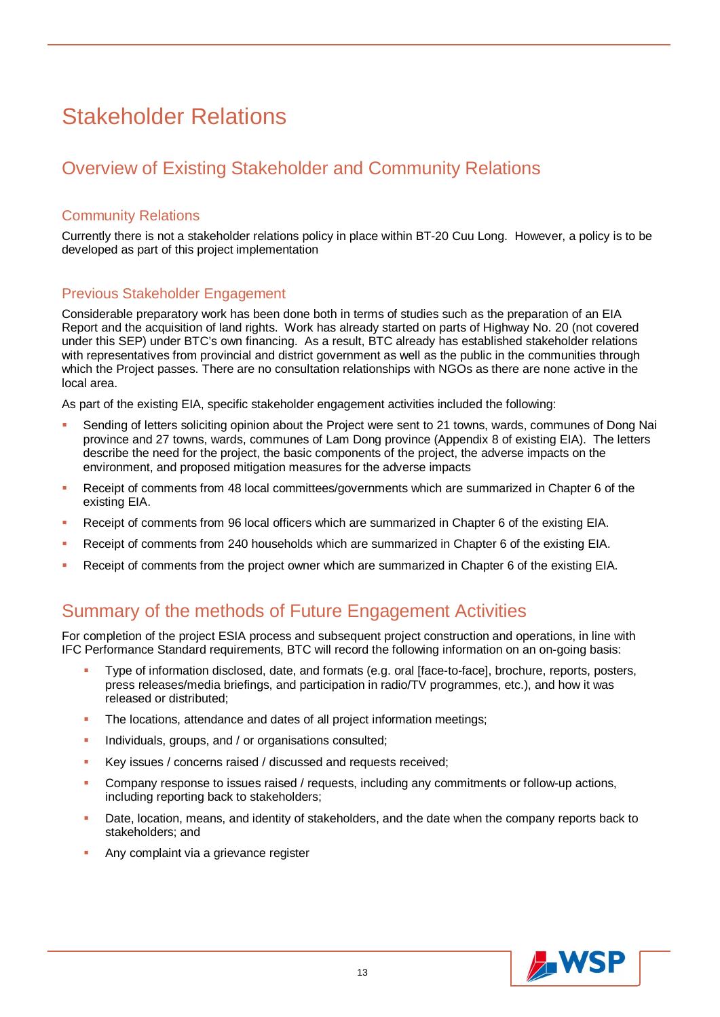## Stakeholder Relations

### Overview of Existing Stakeholder and Community Relations

#### Community Relations

Currently there is not a stakeholder relations policy in place within BT-20 Cuu Long. However, a policy is to be developed as part of this project implementation

#### Previous Stakeholder Engagement

Considerable preparatory work has been done both in terms of studies such as the preparation of an EIA Report and the acquisition of land rights. Work has already started on parts of Highway No. 20 (not covered under this SEP) under BTC's own financing. As a result, BTC already has established stakeholder relations with representatives from provincial and district government as well as the public in the communities through which the Project passes. There are no consultation relationships with NGOs as there are none active in the local area.

As part of the existing EIA, specific stakeholder engagement activities included the following:

- Sending of letters soliciting opinion about the Project were sent to 21 towns, wards, communes of Dong Nai province and 27 towns, wards, communes of Lam Dong province (Appendix 8 of existing EIA). The letters describe the need for the project, the basic components of the project, the adverse impacts on the environment, and proposed mitigation measures for the adverse impacts
- Receipt of comments from 48 local committees/governments which are summarized in Chapter 6 of the existing EIA.
- Receipt of comments from 96 local officers which are summarized in Chapter 6 of the existing EIA.
- Receipt of comments from 240 households which are summarized in Chapter 6 of the existing EIA.
- Receipt of comments from the project owner which are summarized in Chapter 6 of the existing EIA.

### Summary of the methods of Future Engagement Activities

For completion of the project ESIA process and subsequent project construction and operations, in line with IFC Performance Standard requirements, BTC will record the following information on an on-going basis:

- Type of information disclosed, date, and formats (e.g. oral [face-to-face], brochure, reports, posters, press releases/media briefings, and participation in radio/TV programmes, etc.), and how it was released or distributed;
- The locations, attendance and dates of all project information meetings;
- Individuals, groups, and / or organisations consulted;
- Key issues / concerns raised / discussed and requests received;
- Company response to issues raised / requests, including any commitments or follow-up actions, including reporting back to stakeholders;
- Date, location, means, and identity of stakeholders, and the date when the company reports back to stakeholders; and
- Any complaint via a grievance register

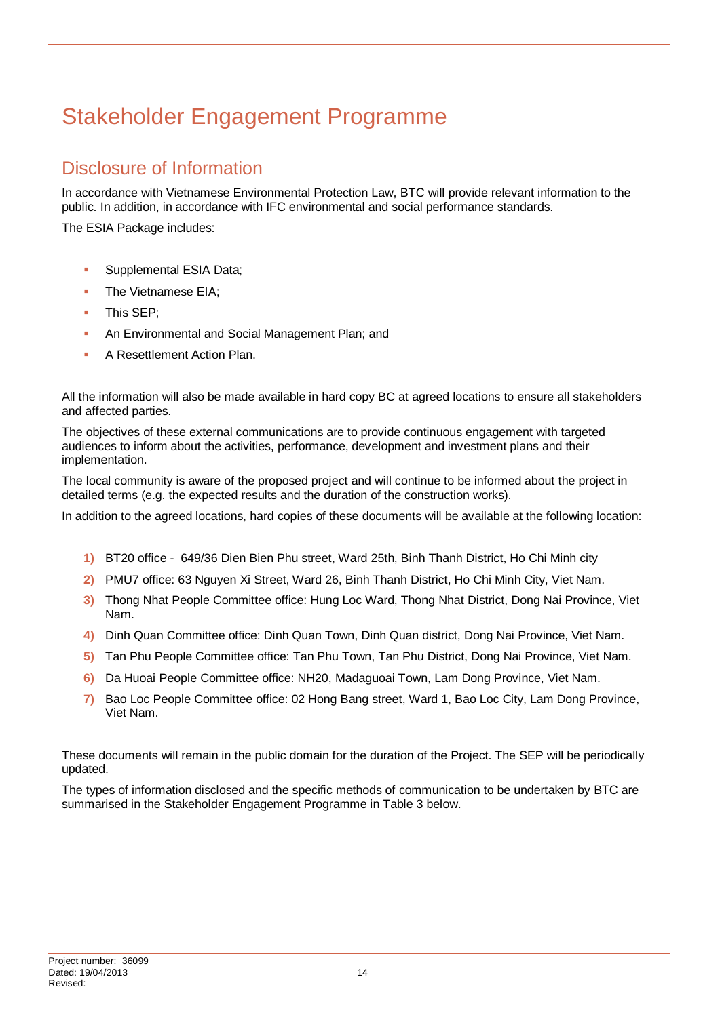## Stakeholder Engagement Programme

### Disclosure of Information

In accordance with Vietnamese Environmental Protection Law, BTC will provide relevant information to the public. In addition, in accordance with IFC environmental and social performance standards.

The ESIA Package includes:

- **Supplemental ESIA Data;**
- The Vietnamese EIA;
- This SEP;
- **An Environmental and Social Management Plan; and**
- **A Resettlement Action Plan.**

All the information will also be made available in hard copy BC at agreed locations to ensure all stakeholders and affected parties.

The objectives of these external communications are to provide continuous engagement with targeted audiences to inform about the activities, performance, development and investment plans and their implementation.

The local community is aware of the proposed project and will continue to be informed about the project in detailed terms (e.g. the expected results and the duration of the construction works).

In addition to the agreed locations, hard copies of these documents will be available at the following location:

- **1)** BT20 office 649/36 Dien Bien Phu street, Ward 25th, Binh Thanh District, Ho Chi Minh city
- **2)** PMU7 office: 63 Nguyen Xi Street, Ward 26, Binh Thanh District, Ho Chi Minh City, Viet Nam.
- **3)** Thong Nhat People Committee office: Hung Loc Ward, Thong Nhat District, Dong Nai Province, Viet Nam.
- **4)** Dinh Quan Committee office: Dinh Quan Town, Dinh Quan district, Dong Nai Province, Viet Nam.
- **5)** Tan Phu People Committee office: Tan Phu Town, Tan Phu District, Dong Nai Province, Viet Nam.
- **6)** Da Huoai People Committee office: NH20, Madaguoai Town, Lam Dong Province, Viet Nam.
- **7)** Bao Loc People Committee office: 02 Hong Bang street, Ward 1, Bao Loc City, Lam Dong Province, Viet Nam.

These documents will remain in the public domain for the duration of the Project. The SEP will be periodically updated.

The types of information disclosed and the specific methods of communication to be undertaken by BTC are summarised in the Stakeholder Engagement Programme in Table 3 below.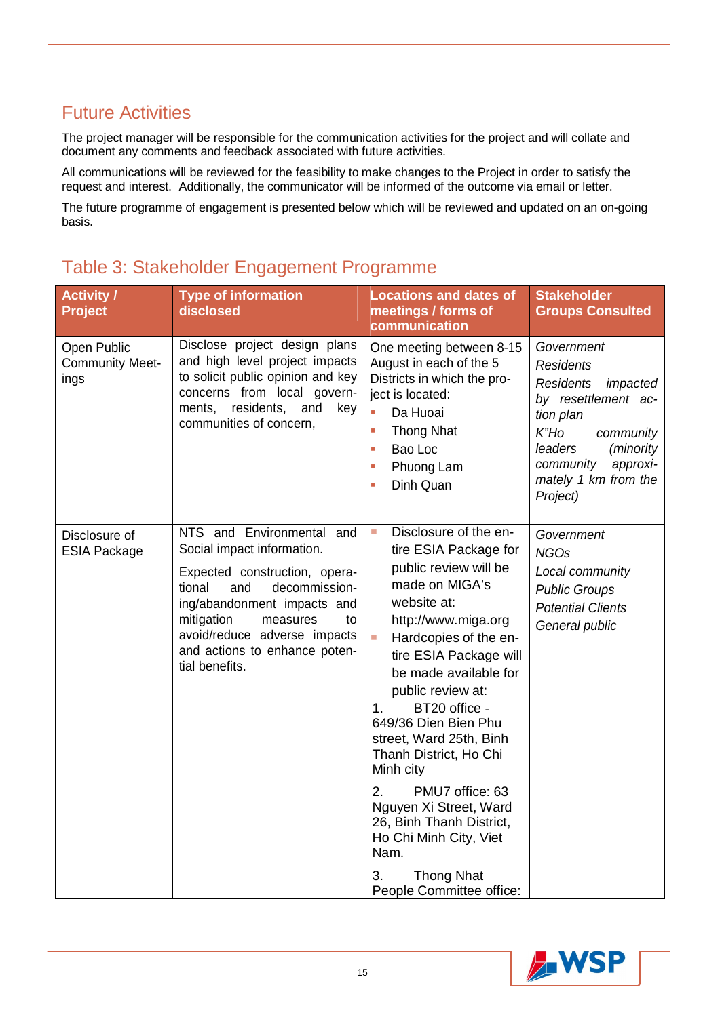### Future Activities

The project manager will be responsible for the communication activities for the project and will collate and document any comments and feedback associated with future activities.

All communications will be reviewed for the feasibility to make changes to the Project in order to satisfy the request and interest. Additionally, the communicator will be informed of the outcome via email or letter.

The future programme of engagement is presented below which will be reviewed and updated on an on-going basis.

| <b>Activity /</b><br><b>Project</b>           | <b>Type of information</b><br>disclosed                                                                                                                                                                                                                                      | <b>Locations and dates of</b><br>meetings / forms of<br>communication                                                                                                                                                                                                                                                                                                                                                                                                                                                                                          | <b>Stakeholder</b><br><b>Groups Consulted</b>                                                                                                                                                                   |
|-----------------------------------------------|------------------------------------------------------------------------------------------------------------------------------------------------------------------------------------------------------------------------------------------------------------------------------|----------------------------------------------------------------------------------------------------------------------------------------------------------------------------------------------------------------------------------------------------------------------------------------------------------------------------------------------------------------------------------------------------------------------------------------------------------------------------------------------------------------------------------------------------------------|-----------------------------------------------------------------------------------------------------------------------------------------------------------------------------------------------------------------|
| Open Public<br><b>Community Meet-</b><br>ings | Disclose project design plans<br>and high level project impacts<br>to solicit public opinion and key<br>concerns from local govern-<br>residents,<br>ments,<br>and<br>key<br>communities of concern,                                                                         | One meeting between 8-15<br>August in each of the 5<br>Districts in which the pro-<br>ject is located:<br>Da Huoai<br>a.<br><b>Thong Nhat</b><br>Ì,<br>Bao Loc<br>Ì.<br>Phuong Lam<br>Ì,<br>Dinh Quan<br>Ì.                                                                                                                                                                                                                                                                                                                                                    | Government<br><b>Residents</b><br><b>Residents</b><br>impacted<br>by resettlement ac-<br>tion plan<br>$K$ "Ho<br>community<br>leaders<br>(minority<br>approxi-<br>community<br>mately 1 km from the<br>Project) |
| Disclosure of<br><b>ESIA Package</b>          | NTS and Environmental and<br>Social impact information.<br>Expected construction, opera-<br>and<br>decommission-<br>tional<br>ing/abandonment impacts and<br>mitigation<br>measures<br>to<br>avoid/reduce adverse impacts<br>and actions to enhance poten-<br>tial benefits. | Disclosure of the en-<br>$\mathcal{L}_{\mathcal{A}}$<br>tire ESIA Package for<br>public review will be<br>made on MIGA's<br>website at:<br>http://www.miga.org<br>I.<br>Hardcopies of the en-<br>tire ESIA Package will<br>be made available for<br>public review at:<br>BT20 office -<br>1.<br>649/36 Dien Bien Phu<br>street, Ward 25th, Binh<br>Thanh District, Ho Chi<br>Minh city<br>2.<br>PMU7 office: 63<br>Nguyen Xi Street, Ward<br>26, Binh Thanh District,<br>Ho Chi Minh City, Viet<br>Nam.<br>3.<br><b>Thong Nhat</b><br>People Committee office: | Government<br><b>NGOs</b><br>Local community<br><b>Public Groups</b><br><b>Potential Clients</b><br>General public                                                                                              |

### Table 3: Stakeholder Engagement Programme

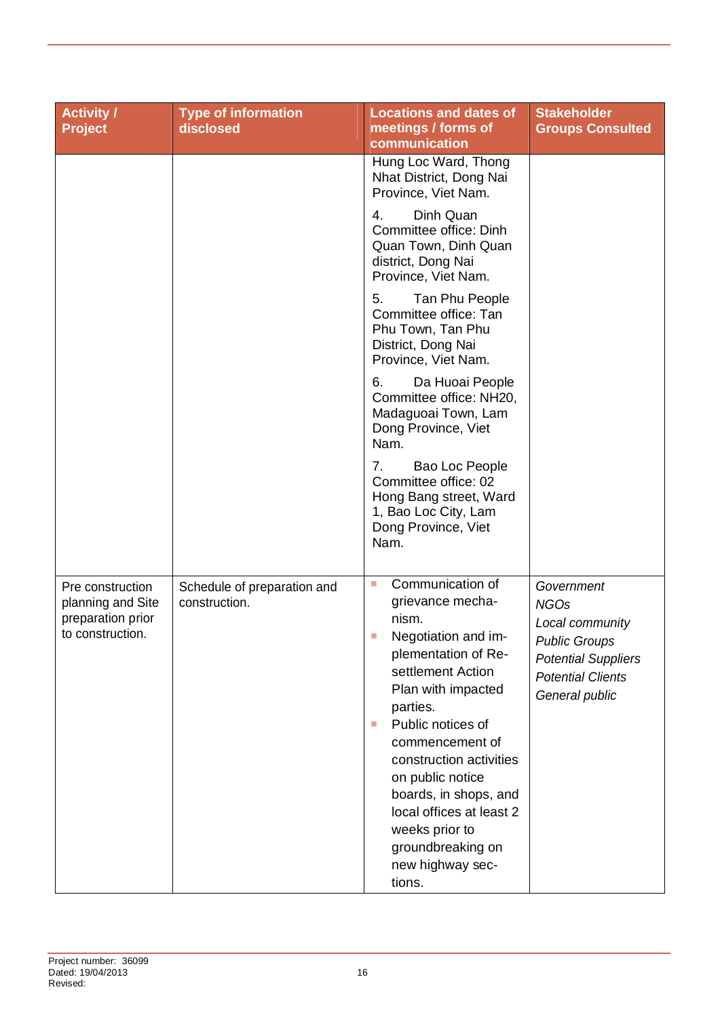| <b>Activity /</b><br><b>Project</b>                                            | <b>Type of information</b><br>disclosed      | <b>Locations and dates of</b><br>meetings / forms of<br>communication                                                                                                                                                                                                                                                                                                                 | <b>Stakeholder</b><br><b>Groups Consulted</b>                                                                                                    |
|--------------------------------------------------------------------------------|----------------------------------------------|---------------------------------------------------------------------------------------------------------------------------------------------------------------------------------------------------------------------------------------------------------------------------------------------------------------------------------------------------------------------------------------|--------------------------------------------------------------------------------------------------------------------------------------------------|
|                                                                                |                                              | Hung Loc Ward, Thong<br>Nhat District, Dong Nai<br>Province, Viet Nam.                                                                                                                                                                                                                                                                                                                |                                                                                                                                                  |
|                                                                                |                                              | Dinh Quan<br>4.<br>Committee office: Dinh<br>Quan Town, Dinh Quan<br>district, Dong Nai<br>Province, Viet Nam.                                                                                                                                                                                                                                                                        |                                                                                                                                                  |
|                                                                                |                                              | 5.<br>Tan Phu People<br>Committee office: Tan<br>Phu Town, Tan Phu<br>District, Dong Nai<br>Province, Viet Nam.                                                                                                                                                                                                                                                                       |                                                                                                                                                  |
|                                                                                |                                              | 6.<br>Da Huoai People<br>Committee office: NH20,<br>Madaguoai Town, Lam<br>Dong Province, Viet<br>Nam.                                                                                                                                                                                                                                                                                |                                                                                                                                                  |
|                                                                                |                                              | 7.<br>Bao Loc People<br>Committee office: 02<br>Hong Bang street, Ward<br>1, Bao Loc City, Lam<br>Dong Province, Viet<br>Nam.                                                                                                                                                                                                                                                         |                                                                                                                                                  |
| Pre construction<br>planning and Site<br>preparation prior<br>to construction. | Schedule of preparation and<br>construction. | Communication of<br>L.<br>grievance mecha-<br>nism.<br>Negotiation and im-<br>plementation of Re-<br>settlement Action<br>Plan with impacted<br>parties.<br>Public notices of<br><b>I</b><br>commencement of<br>construction activities<br>on public notice<br>boards, in shops, and<br>local offices at least 2<br>weeks prior to<br>groundbreaking on<br>new highway sec-<br>tions. | Government<br><b>NGOs</b><br>Local community<br><b>Public Groups</b><br><b>Potential Suppliers</b><br><b>Potential Clients</b><br>General public |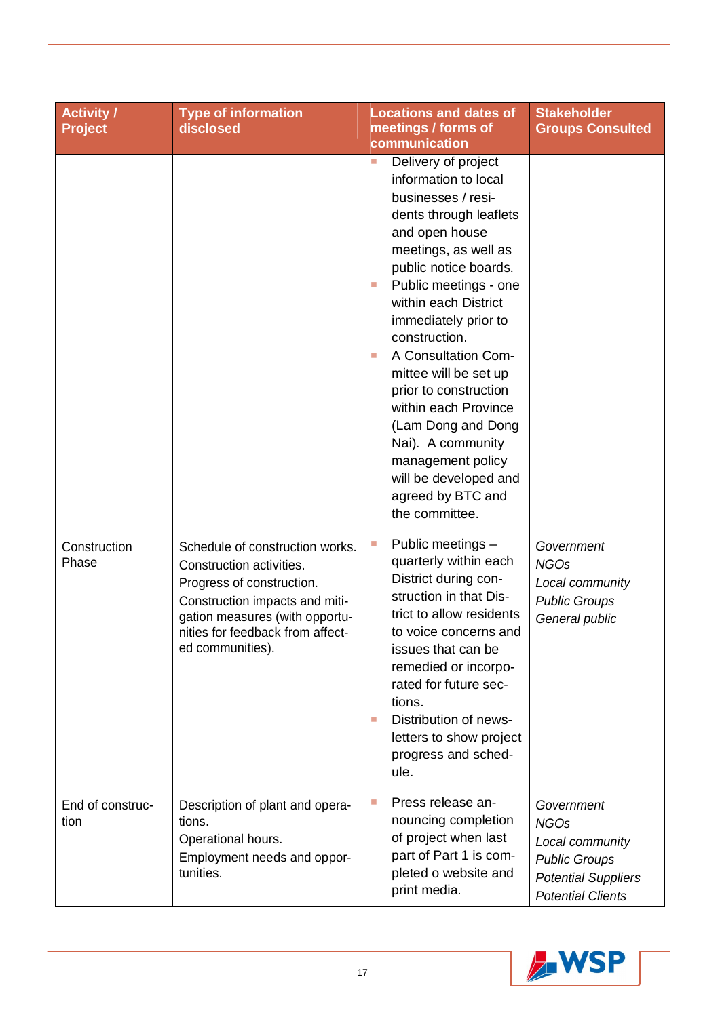| <b>Activity /</b><br><b>Project</b> | <b>Type of information</b><br>disclosed                                                                                                                                                                              | <b>Locations and dates of</b><br>meetings / forms of<br>communication                                                                                                                                                                                                                                                                                                                                                                                                                                             | <b>Stakeholder</b><br><b>Groups Consulted</b>                                                                                  |
|-------------------------------------|----------------------------------------------------------------------------------------------------------------------------------------------------------------------------------------------------------------------|-------------------------------------------------------------------------------------------------------------------------------------------------------------------------------------------------------------------------------------------------------------------------------------------------------------------------------------------------------------------------------------------------------------------------------------------------------------------------------------------------------------------|--------------------------------------------------------------------------------------------------------------------------------|
|                                     |                                                                                                                                                                                                                      | Delivery of project<br>D.<br>information to local<br>businesses / resi-<br>dents through leaflets<br>and open house<br>meetings, as well as<br>public notice boards.<br>Public meetings - one<br><b>I</b><br>within each District<br>immediately prior to<br>construction.<br>A Consultation Com-<br>L.<br>mittee will be set up<br>prior to construction<br>within each Province<br>(Lam Dong and Dong<br>Nai). A community<br>management policy<br>will be developed and<br>agreed by BTC and<br>the committee. |                                                                                                                                |
| Construction<br>Phase               | Schedule of construction works.<br>Construction activities.<br>Progress of construction.<br>Construction impacts and miti-<br>gation measures (with opportu-<br>nities for feedback from affect-<br>ed communities). | Public meetings -<br>L.<br>quarterly within each<br>District during con-<br>struction in that Dis-<br>trict to allow residents<br>to voice concerns and<br>issues that can be<br>remedied or incorpo-<br>rated for future sec-<br>tions.<br>Distribution of news-<br>T.<br>letters to show project<br>progress and sched-<br>ule.                                                                                                                                                                                 | Government<br><b>NGOs</b><br>Local community<br><b>Public Groups</b><br>General public                                         |
| End of construc-<br>tion            | Description of plant and opera-<br>tions.<br>Operational hours.<br>Employment needs and oppor-<br>tunities.                                                                                                          | Press release an-<br>T.<br>nouncing completion<br>of project when last<br>part of Part 1 is com-<br>pleted o website and<br>print media.                                                                                                                                                                                                                                                                                                                                                                          | Government<br><b>NGOs</b><br>Local community<br><b>Public Groups</b><br><b>Potential Suppliers</b><br><b>Potential Clients</b> |

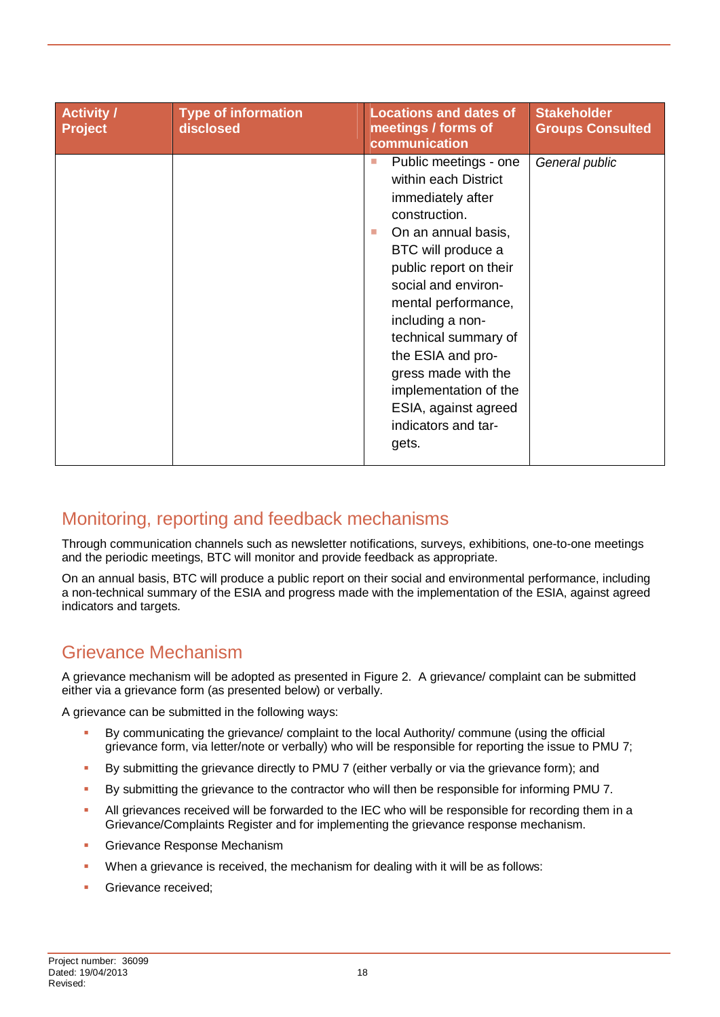| <b>Activity /</b><br><b>Project</b> | <b>Type of information</b><br>disclosed | <b>Locations and dates of</b><br>meetings / forms of<br>communication                                                                                                                                                                                                                                                                                                                         | <b>Stakeholder</b><br><b>Groups Consulted</b> |
|-------------------------------------|-----------------------------------------|-----------------------------------------------------------------------------------------------------------------------------------------------------------------------------------------------------------------------------------------------------------------------------------------------------------------------------------------------------------------------------------------------|-----------------------------------------------|
|                                     |                                         | Public meetings - one<br>H.<br>within each District<br>immediately after<br>construction.<br>On an annual basis,<br>T.<br>BTC will produce a<br>public report on their<br>social and environ-<br>mental performance,<br>including a non-<br>technical summary of<br>the ESIA and pro-<br>gress made with the<br>implementation of the<br>ESIA, against agreed<br>indicators and tar-<br>gets. | General public                                |

### Monitoring, reporting and feedback mechanisms

Through communication channels such as newsletter notifications, surveys, exhibitions, one-to-one meetings and the periodic meetings, BTC will monitor and provide feedback as appropriate.

On an annual basis, BTC will produce a public report on their social and environmental performance, including a non-technical summary of the ESIA and progress made with the implementation of the ESIA, against agreed indicators and targets.

### Grievance Mechanism

A grievance mechanism will be adopted as presented in Figure 2. A grievance/ complaint can be submitted either via a grievance form (as presented below) or verbally.

A grievance can be submitted in the following ways:

- By communicating the grievance/ complaint to the local Authority/ commune (using the official grievance form, via letter/note or verbally) who will be responsible for reporting the issue to PMU 7;
- By submitting the grievance directly to PMU 7 (either verbally or via the grievance form); and
- By submitting the grievance to the contractor who will then be responsible for informing PMU 7.
- All grievances received will be forwarded to the IEC who will be responsible for recording them in a Grievance/Complaints Register and for implementing the grievance response mechanism.
- Grievance Response Mechanism
- When a grievance is received, the mechanism for dealing with it will be as follows:
- Grievance received;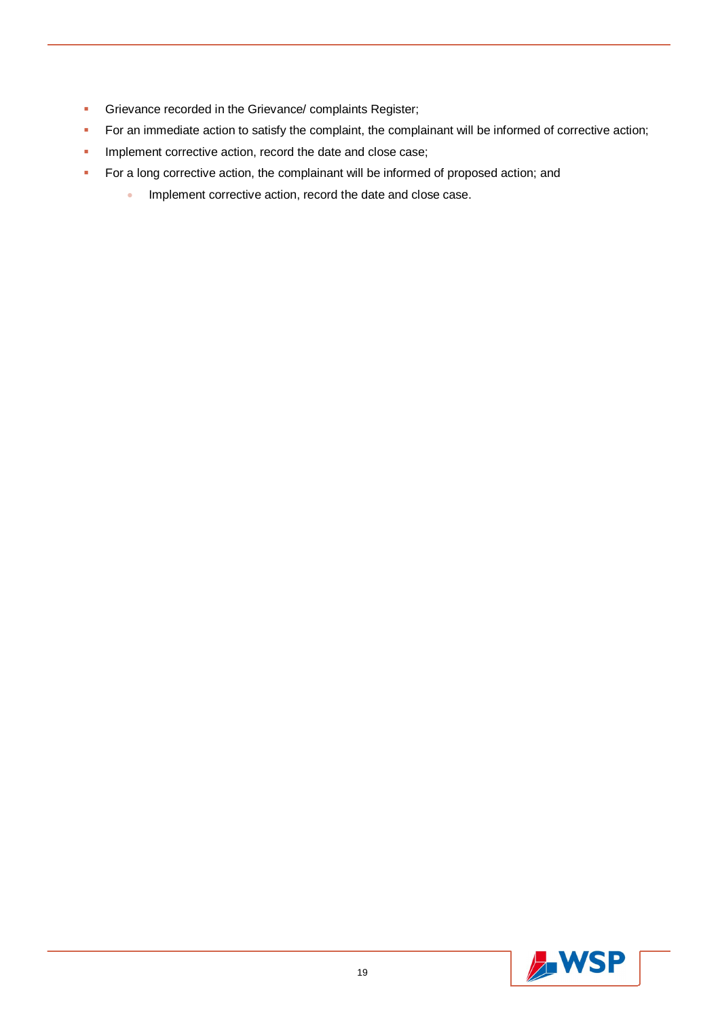- **Grievance recorded in the Grievance/ complaints Register;**
- For an immediate action to satisfy the complaint, the complainant will be informed of corrective action;
- **Implement corrective action, record the date and close case;**
- **For a long corrective action, the complainant will be informed of proposed action; and** 
	- **Implement corrective action, record the date and close case.**

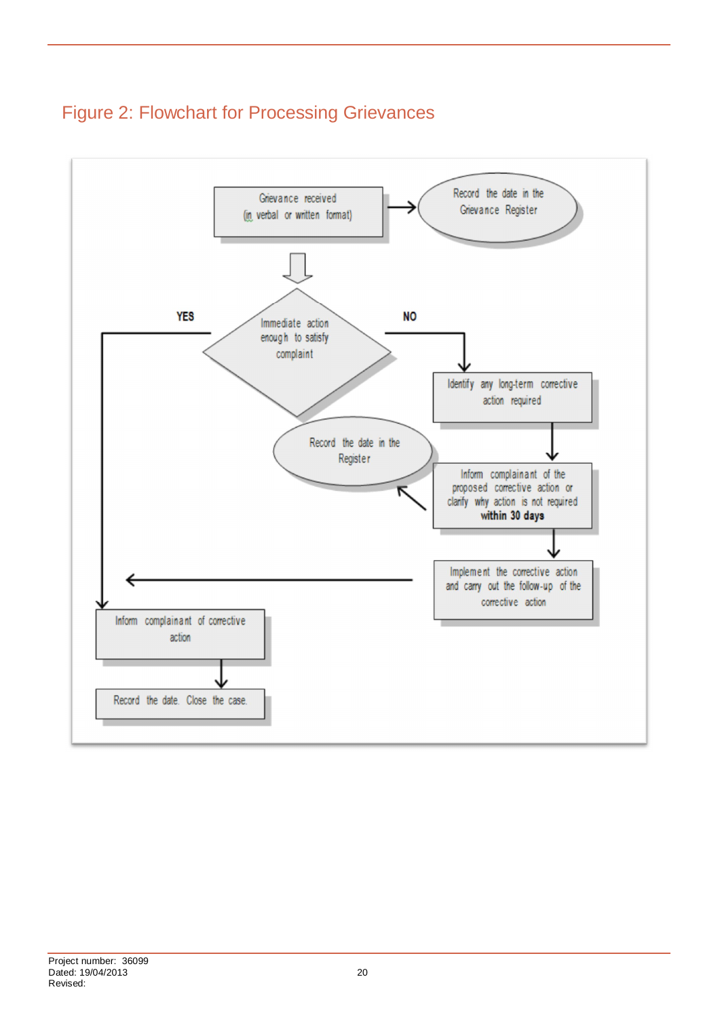

### Figure 2: Flowchart for Processing Grievances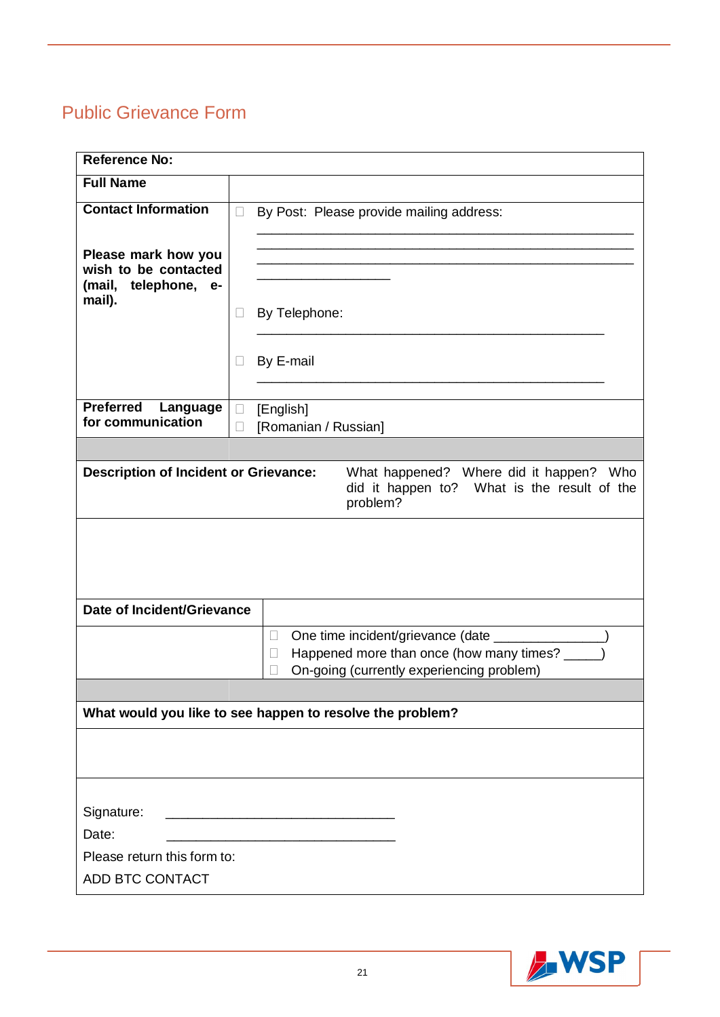### Public Grievance Form

| <b>Reference No:</b>                                                                                    |        |                                                           |  |
|---------------------------------------------------------------------------------------------------------|--------|-----------------------------------------------------------|--|
| <b>Full Name</b>                                                                                        |        |                                                           |  |
| <b>Contact Information</b>                                                                              | $\Box$ | By Post: Please provide mailing address:                  |  |
|                                                                                                         |        |                                                           |  |
| Please mark how you                                                                                     |        |                                                           |  |
| wish to be contacted<br>(mail, telephone, e-                                                            |        |                                                           |  |
| mail).                                                                                                  | $\Box$ | By Telephone:                                             |  |
|                                                                                                         |        |                                                           |  |
|                                                                                                         |        |                                                           |  |
|                                                                                                         | $\Box$ | By E-mail                                                 |  |
|                                                                                                         |        |                                                           |  |
| <b>Preferred</b><br>Language<br>for communication                                                       | $\Box$ | [English]<br>[Romanian / Russian]                         |  |
|                                                                                                         |        |                                                           |  |
|                                                                                                         |        | What happened? Where did it happen? Who                   |  |
| <b>Description of Incident or Grievance:</b><br>did it happen to? What is the result of the<br>problem? |        |                                                           |  |
|                                                                                                         |        |                                                           |  |
|                                                                                                         |        |                                                           |  |
| Date of Incident/Grievance                                                                              |        |                                                           |  |
|                                                                                                         |        | One time incident/grievance (date ___<br>$\Box$           |  |
|                                                                                                         |        | Happened more than once (how many times? _<br>□           |  |
|                                                                                                         |        | On-going (currently experiencing problem)<br>$\mathbf{L}$ |  |
|                                                                                                         |        |                                                           |  |
|                                                                                                         |        | What would you like to see happen to resolve the problem? |  |
|                                                                                                         |        |                                                           |  |
|                                                                                                         |        |                                                           |  |
|                                                                                                         |        |                                                           |  |
| Signature:                                                                                              |        |                                                           |  |
| Date:                                                                                                   |        |                                                           |  |
| Please return this form to:                                                                             |        |                                                           |  |
| ADD BTC CONTACT                                                                                         |        |                                                           |  |